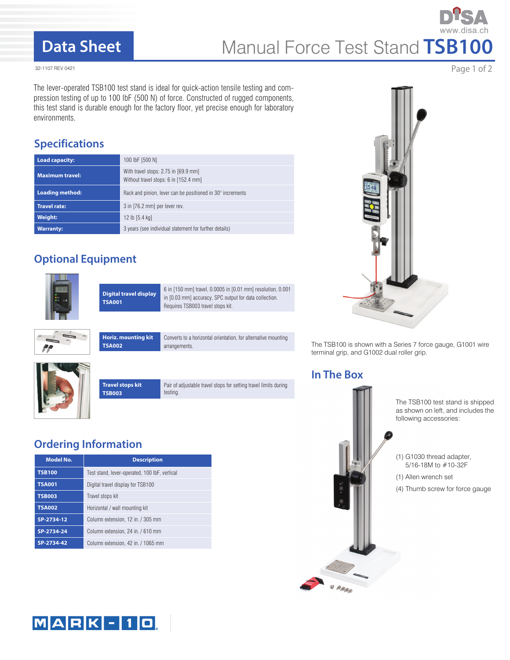### **Data Sheet**

# Manual Force Test Stand **TSB100**

32-1107 REV 0421

The lever-operated TSB100 test stand is ideal for quick-action tensile testing and compression testing of up to 100 lbF (500 N) of force. Constructed of rugged components, this test stand is durable enough for the factory floor, yet precise enough for laboratory environments.

### **Specifications**

| <b>Load capacity:</b>  | 100 lbF [500 N]                                                               |
|------------------------|-------------------------------------------------------------------------------|
| <b>Maximum travel:</b> | With travel stops: 2.75 in [69.9 mm]<br>Without travel stops: 6 in [152.4 mm] |
| <b>Loading method:</b> | Rack and pinion, lever can be positioned in 30° increments                    |
| <b>Travel rate:</b>    | 3 in [76.2 mm] per lever rev.                                                 |
| <b>Weight:</b>         | 12 lb [5.4 kg]                                                                |
| <b>Warranty:</b>       | 3 years (see individual statement for further details)                        |

### **Optional Equipment**



**Digital travel display TSA001**

**Horiz. mounting kit**

6 in [150 mm] travel, 0.0005 in [0.01 mm] resolution, 0.001 in [0.03 mm] accuracy, SPC output for data collection. Requires TSB003 travel stops kit.

Converts to a horizontal orientation, for alternative mounting

arrangements.







**TSA002**

Pair of adjustable travel stops for setting travel limits during testing.

### **Ordering Information**

| <b>Model No.</b> | <b>Description</b>                            |
|------------------|-----------------------------------------------|
| <b>TSB100</b>    | Test stand, lever-operated, 100 lbF, vertical |
| <b>TSA001</b>    | Digital travel display for TSB100             |
| <b>TSB003</b>    | Travel stops kit                              |
| <b>TSA002</b>    | Horizontal / wall mounting kit                |
| SP-2734-12       | Column extension, 12 in. / 305 mm             |
| SP-2734-24       | Column extension, 24 in. / 610 mm             |
| SP-2734-42       | Column extension, 42 in. / 1065 mm            |



The TSB100 is shown with a Series 7 force gauge, G1001 wire terminal grip, and G1002 dual roller grip.

### **In The Box**





Page 1 of 2